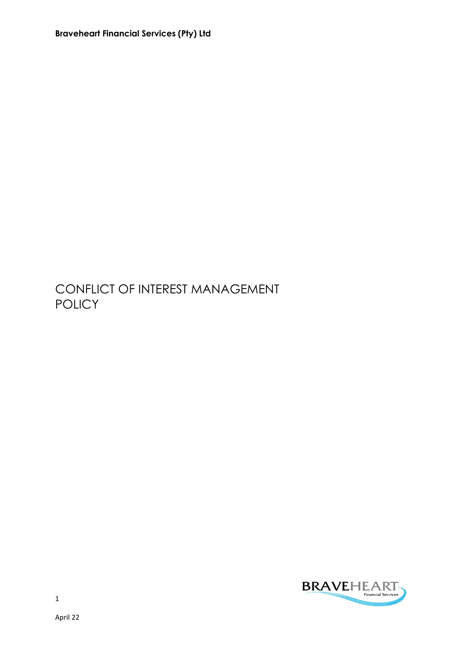Braveheart Financial Services (Pty) Ltd

## CONFLICT OF INTEREST MANAGEMENT **POLICY**

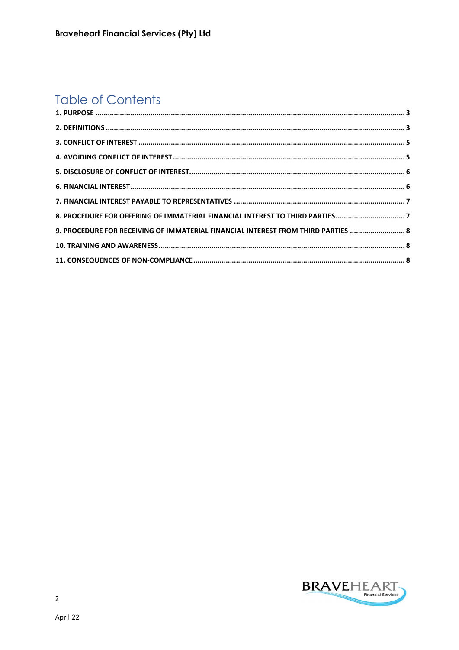# **Table of Contents**

| 8. PROCEDURE FOR OFFERING OF IMMATERIAL FINANCIAL INTEREST TO THIRD PARTIES7      |  |
|-----------------------------------------------------------------------------------|--|
| 9. PROCEDURE FOR RECEIVING OF IMMATERIAL FINANCIAL INTEREST FROM THIRD PARTIES  8 |  |
|                                                                                   |  |
|                                                                                   |  |

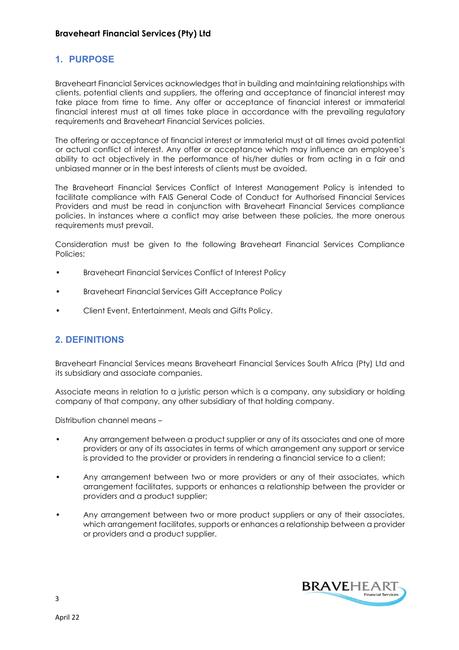## 1. PURPOSE

Braveheart Financial Services acknowledges that in building and maintaining relationships with clients, potential clients and suppliers, the offering and acceptance of financial interest may take place from time to time. Any offer or acceptance of financial interest or immaterial financial interest must at all times take place in accordance with the prevailing regulatory requirements and Braveheart Financial Services policies.

The offering or acceptance of financial interest or immaterial must at all times avoid potential or actual conflict of interest. Any offer or acceptance which may influence an employee's ability to act objectively in the performance of his/her duties or from acting in a fair and unbiased manner or in the best interests of clients must be avoided.

The Braveheart Financial Services Conflict of Interest Management Policy is intended to facilitate compliance with FAIS General Code of Conduct for Authorised Financial Services Providers and must be read in conjunction with Braveheart Financial Services compliance policies. In instances where a conflict may arise between these policies, the more onerous requirements must prevail.

Consideration must be given to the following Braveheart Financial Services Compliance Policies:

- Braveheart Financial Services Conflict of Interest Policy
- Braveheart Financial Services Gift Acceptance Policy
- Client Event, Entertainment, Meals and Gifts Policy.

#### 2. DEFINITIONS

Braveheart Financial Services means Braveheart Financial Services South Africa (Pty) Ltd and its subsidiary and associate companies.

Associate means in relation to a juristic person which is a company, any subsidiary or holding company of that company, any other subsidiary of that holding company.

Distribution channel means –

- Any arrangement between a product supplier or any of its associates and one of more providers or any of its associates in terms of which arrangement any support or service is provided to the provider or providers in rendering a financial service to a client;
- Any arrangement between two or more providers or any of their associates, which arrangement facilitates, supports or enhances a relationship between the provider or providers and a product supplier;
- Any arrangement between two or more product suppliers or any of their associates, which arrangement facilitates, supports or enhances a relationship between a provider or providers and a product supplier.



3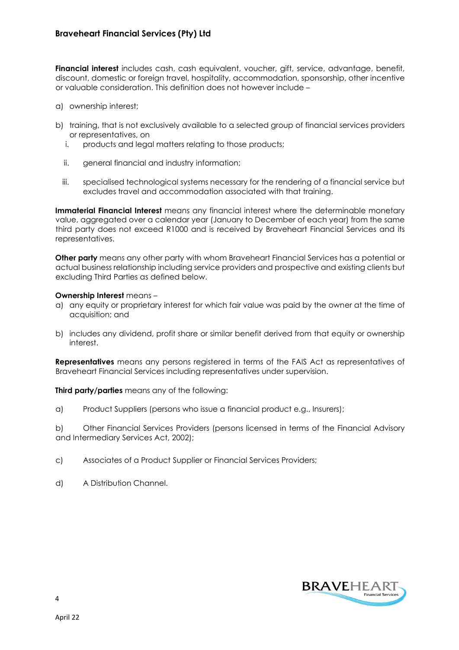Financial interest includes cash, cash equivalent, voucher, gift, service, advantage, benefit, discount, domestic or foreign travel, hospitality, accommodation, sponsorship, other incentive or valuable consideration. This definition does not however include –

- a) ownership interest;
- b) training, that is not exclusively available to a selected group of financial services providers or representatives, on
	- i. products and legal matters relating to those products;
	- ii. general financial and industry information;
	- iii. specialised technological systems necessary for the rendering of a financial service but excludes travel and accommodation associated with that training.

Immaterial Financial Interest means any financial interest where the determinable monetary value, aggregated over a calendar year (January to December of each year) from the same third party does not exceed R1000 and is received by Braveheart Financial Services and its representatives.

Other party means any other party with whom Braveheart Financial Services has a potential or actual business relationship including service providers and prospective and existing clients but excluding Third Parties as defined below.

#### Ownership Interest means –

- a) any equity or proprietary interest for which fair value was paid by the owner at the time of acquisition; and
- b) includes any dividend, profit share or similar benefit derived from that equity or ownership interest.

**Representatives** means any persons registered in terms of the FAIS Act as representatives of Braveheart Financial Services including representatives under supervision.

Third party/parties means any of the following:

a) Product Suppliers (persons who issue a financial product e.g., Insurers);

b) Other Financial Services Providers (persons licensed in terms of the Financial Advisory and Intermediary Services Act, 2002);

- c) Associates of a Product Supplier or Financial Services Providers;
- d) A Distribution Channel.

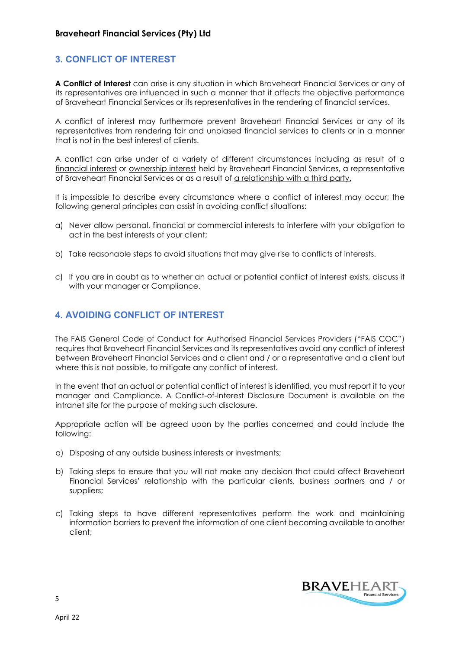## 3. CONFLICT OF INTEREST

A Conflict of Interest can arise is any situation in which Braveheart Financial Services or any of its representatives are influenced in such a manner that it affects the objective performance of Braveheart Financial Services or its representatives in the rendering of financial services.

A conflict of interest may furthermore prevent Braveheart Financial Services or any of its representatives from rendering fair and unbiased financial services to clients or in a manner that is not in the best interest of clients.

A conflict can arise under of a variety of different circumstances including as result of a financial interest or ownership interest held by Braveheart Financial Services, a representative of Braveheart Financial Services or as a result of a relationship with a third party.

It is impossible to describe every circumstance where a conflict of interest may occur; the following general principles can assist in avoiding conflict situations:

- a) Never allow personal, financial or commercial interests to interfere with your obligation to act in the best interests of your client;
- b) Take reasonable steps to avoid situations that may give rise to conflicts of interests.
- c) If you are in doubt as to whether an actual or potential conflict of interest exists, discuss it with your manager or Compliance.

## 4. AVOIDING CONFLICT OF INTEREST

The FAIS General Code of Conduct for Authorised Financial Services Providers ("FAIS COC") requires that Braveheart Financial Services and its representatives avoid any conflict of interest between Braveheart Financial Services and a client and / or a representative and a client but where this is not possible, to mitigate any conflict of interest.

In the event that an actual or potential conflict of interest is identified, you must report it to your manager and Compliance. A Conflict-of-Interest Disclosure Document is available on the intranet site for the purpose of making such disclosure.

Appropriate action will be agreed upon by the parties concerned and could include the following:

- a) Disposing of any outside business interests or investments;
- b) Taking steps to ensure that you will not make any decision that could affect Braveheart Financial Services' relationship with the particular clients, business partners and / or suppliers;
- c) Taking steps to have different representatives perform the work and maintaining information barriers to prevent the information of one client becoming available to another client;



5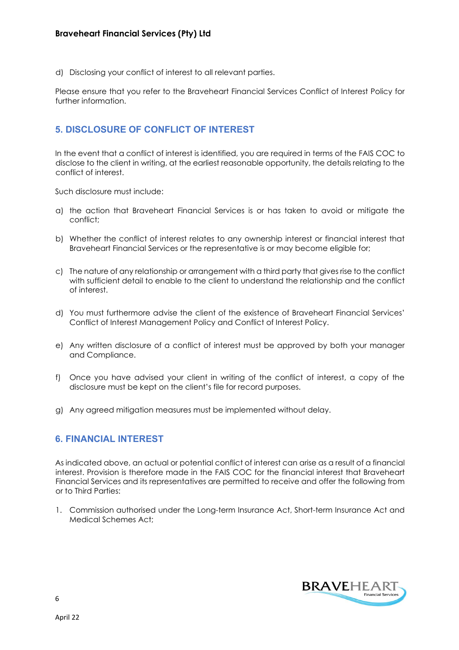d) Disclosing your conflict of interest to all relevant parties.

Please ensure that you refer to the Braveheart Financial Services Conflict of Interest Policy for further information.

## 5. DISCLOSURE OF CONFLICT OF INTEREST

In the event that a conflict of interest is identified, you are required in terms of the FAIS COC to disclose to the client in writing, at the earliest reasonable opportunity, the details relating to the conflict of interest.

Such disclosure must include:

- a) the action that Braveheart Financial Services is or has taken to avoid or mitigate the conflict;
- b) Whether the conflict of interest relates to any ownership interest or financial interest that Braveheart Financial Services or the representative is or may become eligible for;
- c) The nature of any relationship or arrangement with a third party that gives rise to the conflict with sufficient detail to enable to the client to understand the relationship and the conflict of interest.
- d) You must furthermore advise the client of the existence of Braveheart Financial Services' Conflict of Interest Management Policy and Conflict of Interest Policy.
- e) Any written disclosure of a conflict of interest must be approved by both your manager and Compliance.
- f) Once you have advised your client in writing of the conflict of interest, a copy of the disclosure must be kept on the client's file for record purposes.
- g) Any agreed mitigation measures must be implemented without delay.

#### 6. FINANCIAL INTEREST

As indicated above, an actual or potential conflict of interest can arise as a result of a financial interest. Provision is therefore made in the FAIS COC for the financial interest that Braveheart Financial Services and its representatives are permitted to receive and offer the following from or to Third Parties:

1. Commission authorised under the Long-term Insurance Act, Short-term Insurance Act and Medical Schemes Act;

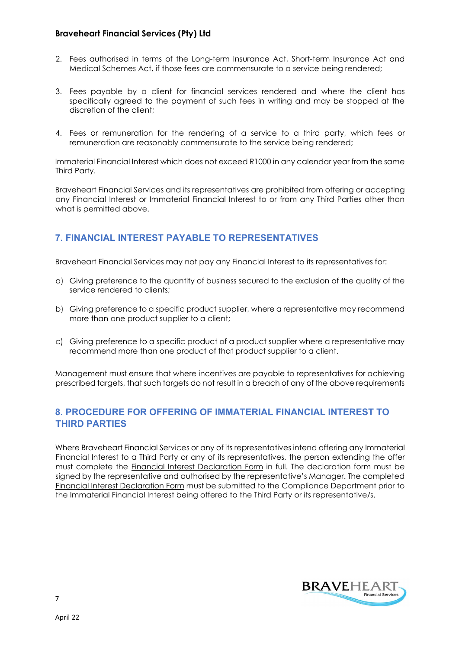#### Braveheart Financial Services (Pty) Ltd

- 2. Fees authorised in terms of the Long-term Insurance Act, Short-term Insurance Act and Medical Schemes Act, if those fees are commensurate to a service being rendered;
- 3. Fees payable by a client for financial services rendered and where the client has specifically agreed to the payment of such fees in writing and may be stopped at the discretion of the client;
- 4. Fees or remuneration for the rendering of a service to a third party, which fees or remuneration are reasonably commensurate to the service being rendered;

Immaterial Financial Interest which does not exceed R1000 in any calendar year from the same Third Party.

Braveheart Financial Services and its representatives are prohibited from offering or accepting any Financial Interest or Immaterial Financial Interest to or from any Third Parties other than what is permitted above.

## 7. FINANCIAL INTEREST PAYABLE TO REPRESENTATIVES

Braveheart Financial Services may not pay any Financial Interest to its representatives for:

- a) Giving preference to the quantity of business secured to the exclusion of the quality of the service rendered to clients;
- b) Giving preference to a specific product supplier, where a representative may recommend more than one product supplier to a client;
- c) Giving preference to a specific product of a product supplier where a representative may recommend more than one product of that product supplier to a client.

Management must ensure that where incentives are payable to representatives for achieving prescribed targets, that such targets do not result in a breach of any of the above requirements

## 8. PROCEDURE FOR OFFERING OF IMMATERIAL FINANCIAL INTEREST TO THIRD PARTIES

Where Braveheart Financial Services or any of its representatives intend offering any Immaterial Financial Interest to a Third Party or any of its representatives, the person extending the offer must complete the Financial Interest Declaration Form in full. The declaration form must be signed by the representative and authorised by the representative's Manager. The completed Financial Interest Declaration Form must be submitted to the Compliance Department prior to the Immaterial Financial Interest being offered to the Third Party or its representative/s.